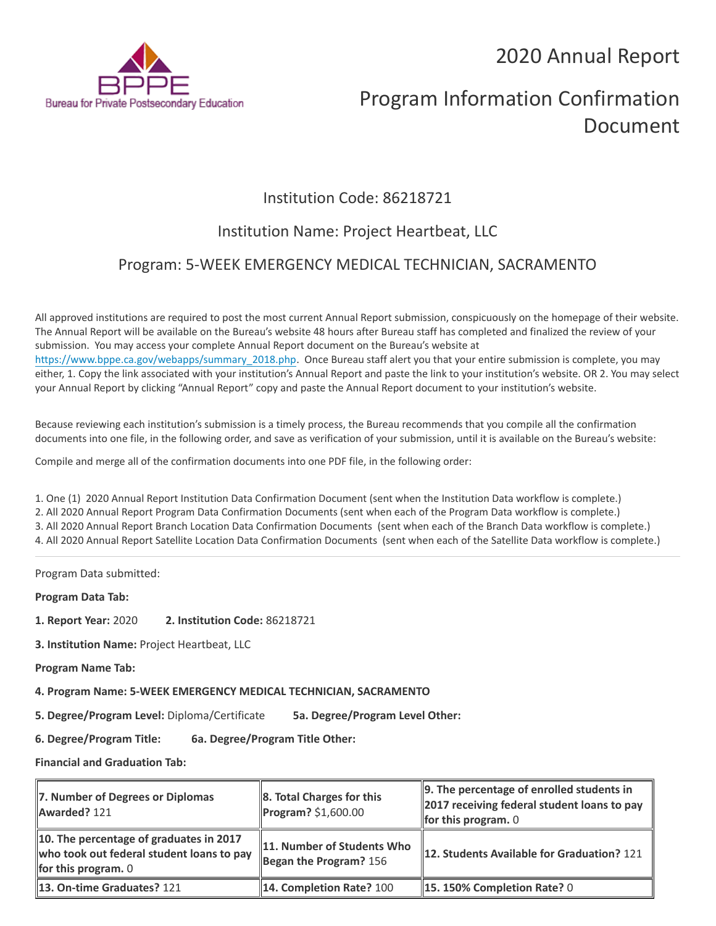2020 Annual Report



# Program Information Confirmation Document

## Institution Code: 86218721

## Institution Name: Project Heartbeat, LLC

### Program: 5-WEEK EMERGENCY MEDICAL TECHNICIAN, SACRAMENTO

All approved institutions are required to post the most current Annual Report submission, conspicuously on the homepage of their website. The Annual Report will be available on the Bureau's website 48 hours after Bureau staff has completed and finalized the review of your submission. You may access your complete Annual Report document on the Bureau's website at [https://www.bppe.ca.gov/webapps/summary\\_2018.php.](https://www.bppe.ca.gov/webapps/summary_2018.php) Once Bureau staff alert you that your entire submission is complete, you may either, 1. Copy the link associated with your institution's Annual Report and paste the link to your institution's website. OR 2. You may select your Annual Report by clicking "Annual Report" copy and paste the Annual Report document to your institution's website.

Because reviewing each institution's submission is a timely process, the Bureau recommends that you compile all the confirmation documents into one file, in the following order, and save as verification of your submission, until it is available on the Bureau's website:

Compile and merge all of the confirmation documents into one PDF file, in the following order:

1. One (1) 2020 Annual Report Institution Data Confirmation Document (sent when the Institution Data workflow is complete.) 2. All 2020 Annual Report Program Data Confirmation Documents (sent when each of the Program Data workflow is complete.) 3. All 2020 Annual Report Branch Location Data Confirmation Documents (sent when each of the Branch Data workflow is complete.) 4. All 2020 Annual Report Satellite Location Data Confirmation Documents (sent when each of the Satellite Data workflow is complete.)

Program Data submitted:

**Program Data Tab:**

- **1. Report Year:** 2020 **2. Institution Code:** 86218721
- **3. Institution Name:** Project Heartbeat, LLC
- **Program Name Tab:**

**4. Program Name: 5-WEEK EMERGENCY MEDICAL TECHNICIAN, SACRAMENTO** 

**5. Degree/Program Level:** Diploma/Certificate **5a. Degree/Program Level Other:**

**6. Degree/Program Title: 6a. Degree/Program Title Other:**

**Financial and Graduation Tab:**

| 7. Number of Degrees or Diplomas<br>Awarded? 121                                                              | 8. Total Charges for this<br>Program? \$1,600.00       | 9. The percentage of enrolled students in<br>2017 receiving federal student loans to pay<br>for this program. $0$ |
|---------------------------------------------------------------------------------------------------------------|--------------------------------------------------------|-------------------------------------------------------------------------------------------------------------------|
| 10. The percentage of graduates in 2017<br>who took out federal student loans to pay<br>for this program. $0$ | 11. Number of Students Who<br>Began the Program? $156$ | 12. Students Available for Graduation? 121                                                                        |
| <b>13. On-time Graduates? 121</b>                                                                             | 14. Completion Rate? 100                               | <b>15. 150% Completion Rate? 0</b>                                                                                |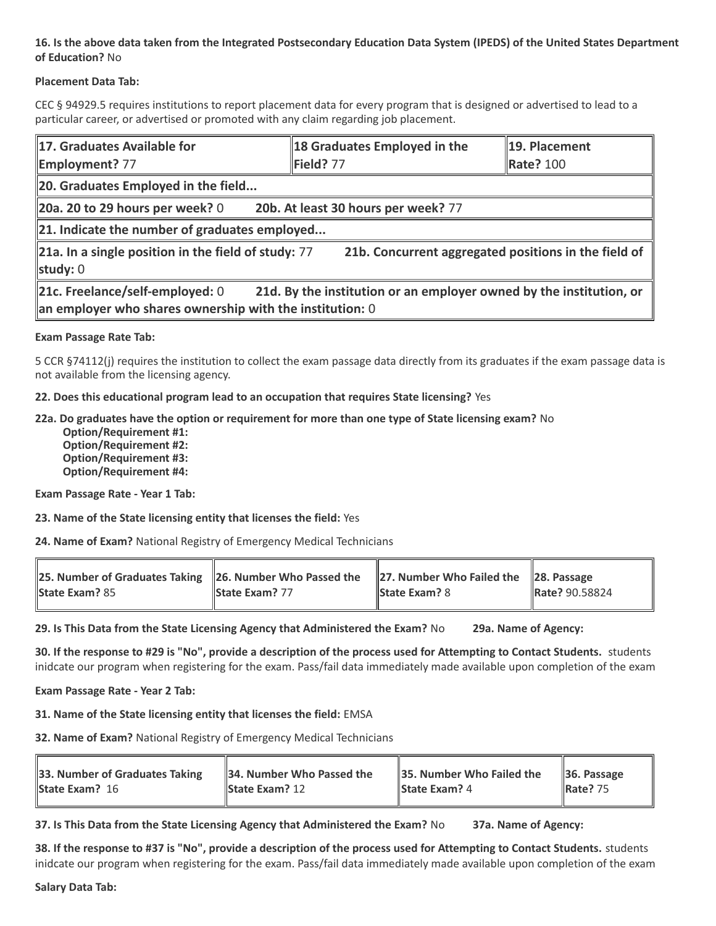### **16. Is the above data taken from the Integrated Postsecondary Education Data System (IPEDS) of the United States Department of Education?** No

#### **Placement Data Tab:**

CEC § 94929.5 requires institutions to report placement data for every program that is designed or advertised to lead to a particular career, or advertised or promoted with any claim regarding job placement.

| 17. Graduates Available for<br><b>Employment?</b> 77                                                                                                                 | 18 Graduates Employed in the<br>Field? 77            | 19. Placement<br>Rate? 100 |  |  |
|----------------------------------------------------------------------------------------------------------------------------------------------------------------------|------------------------------------------------------|----------------------------|--|--|
| 20. Graduates Employed in the field                                                                                                                                  |                                                      |                            |  |  |
| 20a. 20 to 29 hours per week? $0$                                                                                                                                    | 20b. At least 30 hours per week? 77                  |                            |  |  |
| $\ $ 21. Indicate the number of graduates employed                                                                                                                   |                                                      |                            |  |  |
| $\ $ 21a. In a single position in the field of study: 77<br>study: $0$                                                                                               | 21b. Concurrent aggregated positions in the field of |                            |  |  |
| 21c. Freelance/self-employed: 0<br>21d. By the institution or an employer owned by the institution, or<br>an employer who shares ownership with the institution: $0$ |                                                      |                            |  |  |

#### **Exam Passage Rate Tab:**

5 CCR §74112(j) requires the institution to collect the exam passage data directly from its graduates if the exam passage data is not available from the licensing agency.

#### **22. Does this educational program lead to an occupation that requires State licensing?** Yes

#### **22a. Do graduates have the option or requirement for more than one type of State licensing exam?** No

 **Option/Requirement #1: Option/Requirement #2: Option/Requirement #3: Option/Requirement #4:**

**Exam Passage Rate - Year 1 Tab:**

**23. Name of the State licensing entity that licenses the field:** Yes

**24. Name of Exam?** National Registry of Emergency Medical Technicians

| 25. Number of Graduates Taking $\ $ 26. Number Who Passed the<br><b>State Exam? 85</b> | State Exam? 77 | 27. Number Who Failed the $\ $ 28. Passage<br><b>State Exam?</b> 8 | Rate? 90.58824 |
|----------------------------------------------------------------------------------------|----------------|--------------------------------------------------------------------|----------------|
|                                                                                        |                |                                                                    |                |

**29. Is This Data from the State Licensing Agency that Administered the Exam?** No **29a. Name of Agency:**

**30. If the response to #29 is "No", provide a description of the process used for Attempting to Contact Students.** students inidcate our program when registering for the exam. Pass/fail data immediately made available upon completion of the exam

#### **Exam Passage Rate - Year 2 Tab:**

**31. Name of the State licensing entity that licenses the field:** EMSA

**32. Name of Exam?** National Registry of Emergency Medical Technicians

| 33. Number of Graduates Taking | 34. Number Who Passed the | 35. Number Who Failed the | $\vert$ 36. Passage  |
|--------------------------------|---------------------------|---------------------------|----------------------|
| <b>State Exam? 16</b>          | <b>State Exam?</b> $12$   | <b>State Exam?</b> 4      | $\parallel$ Rate? 75 |
|                                |                           |                           |                      |

**37. Is This Data from the State Licensing Agency that Administered the Exam?** No **37a. Name of Agency:**

**38. If the response to #37 is "No", provide a description of the process used for Attempting to Contact Students.** students inidcate our program when registering for the exam. Pass/fail data immediately made available upon completion of the exam

**Salary Data Tab:**